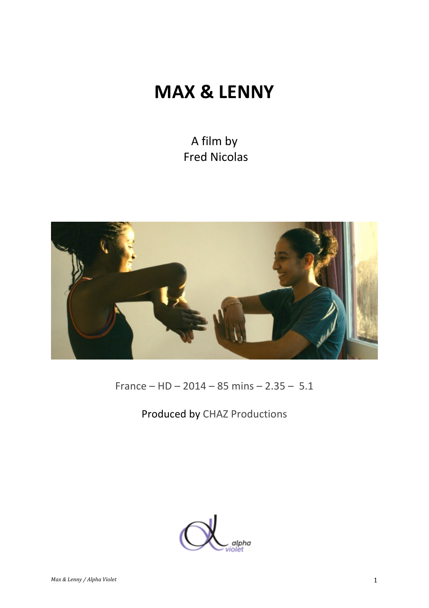# **MAX & LENNY**

A film by Fred Nicolas



France – HD – 2014 – 85 mins –  $2.35 - 5.1$ 

## Produced by CHAZ Productions

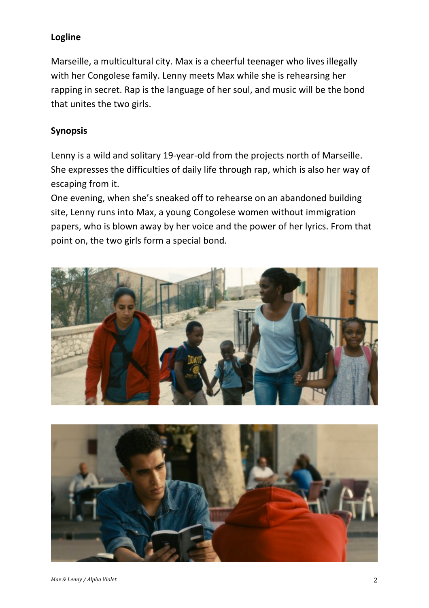### **Logline**

Marseille, a multicultural city. Max is a cheerful teenager who lives illegally with her Congolese family. Lenny meets Max while she is rehearsing her rapping in secret. Rap is the language of her soul, and music will be the bond that unites the two girls.

#### **Synopsis**

Lenny is a wild and solitary 19-year-old from the projects north of Marseille. She expresses the difficulties of daily life through rap, which is also her way of escaping from it.

One evening, when she's sneaked off to rehearse on an abandoned building site, Lenny runs into Max, a young Congolese women without immigration papers, who is blown away by her voice and the power of her lyrics. From that point on, the two girls form a special bond.



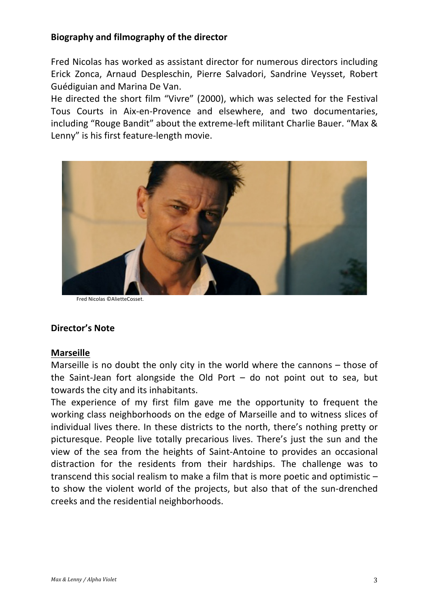#### **Biography and filmography of the director**

Fred Nicolas has worked as assistant director for numerous directors including Erick Zonca, Arnaud Despleschin, Pierre Salvadori, Sandrine Veysset, Robert Guédiguian and Marina De Van.

He directed the short film "Vivre" (2000), which was selected for the Festival Tous Courts in Aix-en-Provence and elsewhere, and two documentaries, including "Rouge Bandit" about the extreme-left militant Charlie Bauer. "Max & Lenny" is his first feature-length movie.



Fred Nicolas ©AlietteCosset.

#### **Director's Note**

#### **Marseille**

Marseille is no doubt the only city in the world where the cannons  $-$  those of the Saint-Jean fort alongside the Old Port  $-$  do not point out to sea, but towards the city and its inhabitants.

The experience of my first film gave me the opportunity to frequent the working class neighborhoods on the edge of Marseille and to witness slices of individual lives there. In these districts to the north, there's nothing pretty or picturesque. People live totally precarious lives. There's just the sun and the view of the sea from the heights of Saint-Antoine to provides an occasional distraction for the residents from their hardships. The challenge was to transcend this social realism to make a film that is more poetic and optimistic  $$ to show the violent world of the projects, but also that of the sun-drenched creeks and the residential neighborhoods.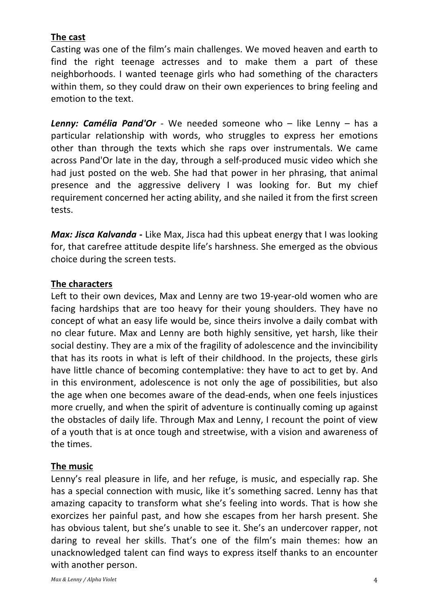### **The cast**

Casting was one of the film's main challenges. We moved heaven and earth to find the right teenage actresses and to make them a part of these neighborhoods. I wanted teenage girls who had something of the characters within them, so they could draw on their own experiences to bring feeling and emotion to the text.

**Lenny: Camélia Pand'Or** - We needed someone who – like Lenny – has a particular relationship with words, who struggles to express her emotions other than through the texts which she raps over instrumentals. We came across Pand'Or late in the day, through a self-produced music video which she had just posted on the web. She had that power in her phrasing, that animal presence and the aggressive delivery I was looking for. But my chief requirement concerned her acting ability, and she nailed it from the first screen tests. 

*Max: Jisca Kalvanda* - Like Max, Jisca had this upbeat energy that I was looking for, that carefree attitude despite life's harshness. She emerged as the obvious choice during the screen tests.

#### **The characters**

Left to their own devices, Max and Lenny are two 19-year-old women who are facing hardships that are too heavy for their young shoulders. They have no concept of what an easy life would be, since theirs involve a daily combat with no clear future. Max and Lenny are both highly sensitive, yet harsh, like their social destiny. They are a mix of the fragility of adolescence and the invincibility that has its roots in what is left of their childhood. In the projects, these girls have little chance of becoming contemplative: they have to act to get by. And in this environment, adolescence is not only the age of possibilities, but also the age when one becomes aware of the dead-ends, when one feels injustices more cruelly, and when the spirit of adventure is continually coming up against the obstacles of daily life. Through Max and Lenny, I recount the point of view of a youth that is at once tough and streetwise, with a vision and awareness of the times.

#### **The music**

Lenny's real pleasure in life, and her refuge, is music, and especially rap. She has a special connection with music, like it's something sacred. Lenny has that amazing capacity to transform what she's feeling into words. That is how she exorcizes her painful past, and how she escapes from her harsh present. She has obvious talent, but she's unable to see it. She's an undercover rapper, not daring to reveal her skills. That's one of the film's main themes: how an unacknowledged talent can find ways to express itself thanks to an encounter with another person.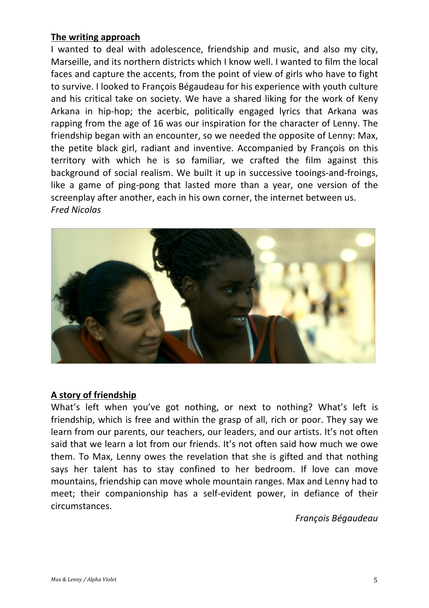#### **The writing approach**

I wanted to deal with adolescence, friendship and music, and also my city, Marseille, and its northern districts which I know well. I wanted to film the local faces and capture the accents, from the point of view of girls who have to fight to survive. I looked to François Bégaudeau for his experience with youth culture and his critical take on society. We have a shared liking for the work of Keny Arkana in hip-hop; the acerbic, politically engaged lyrics that Arkana was rapping from the age of 16 was our inspiration for the character of Lenny. The friendship began with an encounter, so we needed the opposite of Lenny: Max, the petite black girl, radiant and inventive. Accompanied by François on this territory with which he is so familiar, we crafted the film against this background of social realism. We built it up in successive tooings-and-froings, like a game of ping-pong that lasted more than a year, one version of the screenplay after another, each in his own corner, the internet between us. *Fred Nicolas*



#### **A story of friendship**

What's left when you've got nothing, or next to nothing? What's left is friendship, which is free and within the grasp of all, rich or poor. They say we learn from our parents, our teachers, our leaders, and our artists. It's not often said that we learn a lot from our friends. It's not often said how much we owe them. To Max, Lenny owes the revelation that she is gifted and that nothing says her talent has to stay confined to her bedroom. If love can move mountains, friendship can move whole mountain ranges. Max and Lenny had to meet; their companionship has a self-evident power, in defiance of their circumstances.

*François Bégaudeau*